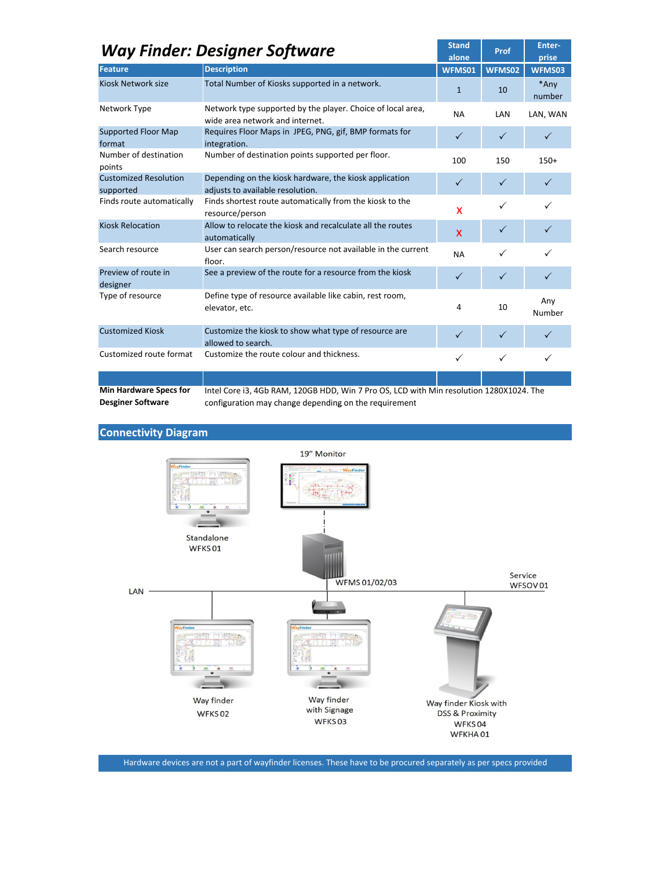| <b>Way Finder: Designer Software</b>      |                                                                                                |              | Prof         | Enter-<br>prise |
|-------------------------------------------|------------------------------------------------------------------------------------------------|--------------|--------------|-----------------|
| Feature                                   | <b>Description</b>                                                                             | WFMS01       | WFMS02       | WFMS03          |
| <b>Kiosk Network size</b>                 | Total Number of Kiosks supported in a network.                                                 | $\mathbf{1}$ | 10           | *Any<br>number  |
| Network Type                              | Network type supported by the player. Choice of local area,<br>wide area network and internet. | <b>NA</b>    | LAN          | LAN, WAN        |
| <b>Supported Floor Map</b><br>format      | Requires Floor Maps in JPEG, PNG, gif, BMP formats for<br>integration.                         | $\checkmark$ | $\checkmark$ | $\checkmark$    |
| Number of destination<br>points           | Number of destination points supported per floor.                                              | 100          | 150          | $150+$          |
| <b>Customized Resolution</b><br>supported | Depending on the kiosk hardware, the kiosk application<br>adiusts to available resolution.     | $\checkmark$ | $\checkmark$ | $\checkmark$    |
| Finds route automatically                 | Finds shortest route automatically from the kiosk to the<br>resource/person                    | X            | ✓            |                 |
| <b>Kiosk Relocation</b>                   | Allow to relocate the kiosk and recalculate all the routes<br>automatically                    | $\mathsf{x}$ | $\checkmark$ | $\checkmark$    |
| Search resource                           | User can search person/resource not available in the current<br>floor.                         | <b>NA</b>    | ✓            |                 |
| Preview of route in<br>designer           | See a preview of the route for a resource from the kiosk                                       | $\checkmark$ | $\checkmark$ | $\checkmark$    |
| Type of resource                          | Define type of resource available like cabin, rest room,<br>elevator, etc.                     | 4            | 10           | Any<br>Number   |
| <b>Customized Kiosk</b>                   | Customize the kiosk to show what type of resource are<br>allowed to search.                    | $\checkmark$ | $\checkmark$ | $\checkmark$    |
| Customized route format                   | Customize the route colour and thickness.                                                      | $\checkmark$ | $\checkmark$ | ✓               |
|                                           |                                                                                                |              |              |                 |
| <b>Min Hardware Specs for</b>             | Intel Core i3, 4Gb RAM, 120GB HDD, Win 7 Pro OS, LCD with Min resolution 1280X1024. The        |              |              |                 |

Desginer Software

Intel Core i3, 4Gb RAM, 120GB HDD, Win 7 Pro OS, LCD with Min resolution 1280X1024. The configuration may change depending on the requirement

Connectivity Diagram



Hardware devices are not a part of wayfinder licenses. These have to be procured separately as per specs provided